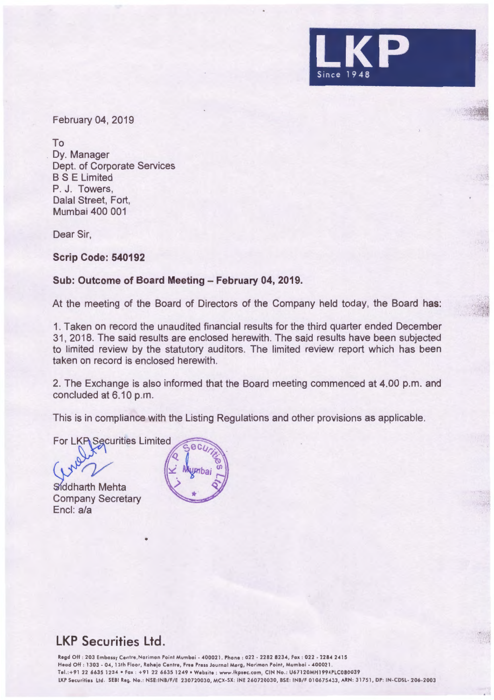

February 04, 2019

To Dy. Manager Dept. of Corporate Services BS E Limited P. J. Towers, Dalal Street, Fort, Mumbai 400 001

Dear Sir,

**Scrip Code: 540192** 

## **Sub: Outcome of Board Meeting - February 04, 2019.**

At the meeting of the Board of Directors of the Company held today, the Board has:

1. Taken on record the unaudited financial results for the third quarter ended December 31, 2018. The said results are enclosed herewith. The sajd results have been subjected to limited review by the statutory auditors. The limited review report which has been taken on record is enclosed herewith.

2. The Exchange is also informed that the Board meeting commenced at 4.00 p.m. and concluded at 6.10 p.m.

This is in compliance with the Listing Regulations and other provisions as applicable.

For LKP Securities Limited

•

Siddharth Mehta Company Secretary Encl: a/a



## **LKP Securities Ltd.**

Regd Off : 203 Embassy Centre, Nariman Point Mumbai - 400021. Phone : 022 - 2282 8234, Fax : 022 - 2284 2415 Head Off : 1303 • 04, 13th Floor, Roheio Centre, Free Press Journal Marg, Norimon Point, Mumbai - 400021 . Tel. :+ 9 1 22 6635 1234 •Fox : +91 22 6635 1249 •Website : www.lkpsec .com, CIN No .: U67120MH1994PLC080039 LKP Securities Ltd. SEBI Reg. No.: NSE:INB/F/E 230720030, MCX-SX: INE 260720030, BSE: INB/F 010675433, ARN: 31751, DP: IN-CDSL- 206-2003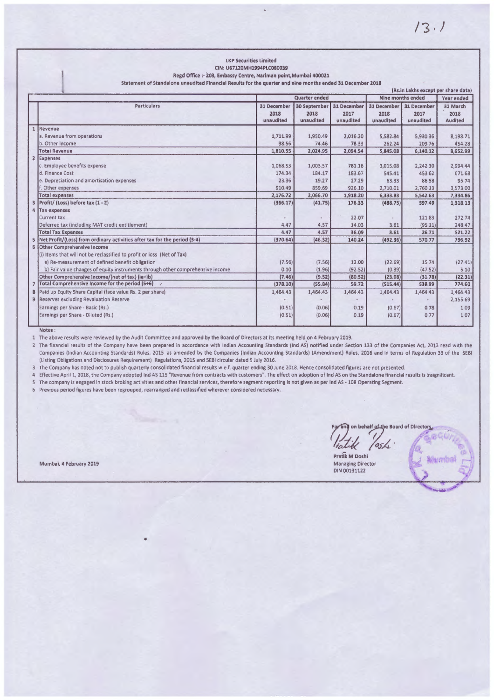|                                                                                                            | <b>LKP Securities Limited</b><br>CIN: U67120MH1994PLC080039                    |                                  |                                          |                                  |                                  |                                  |                                    |  |
|------------------------------------------------------------------------------------------------------------|--------------------------------------------------------------------------------|----------------------------------|------------------------------------------|----------------------------------|----------------------------------|----------------------------------|------------------------------------|--|
|                                                                                                            | Regd Office :- 203, Embassy Centre, Nariman point, Mumbai 400021               |                                  |                                          |                                  |                                  |                                  |                                    |  |
| Statement of Standalone unaudited Financial Results for the quarter and nine months ended 31 December 2018 |                                                                                |                                  |                                          |                                  |                                  |                                  |                                    |  |
|                                                                                                            | (Rs.in Lakhs except per share data)                                            |                                  |                                          |                                  |                                  |                                  |                                    |  |
|                                                                                                            |                                                                                |                                  | Quarter ended                            |                                  |                                  | Nine months ended                |                                    |  |
|                                                                                                            | <b>Particulars</b>                                                             | 31 December<br>2018<br>unaudited | <b>30 September</b><br>2018<br>unaudited | 31 December<br>2017<br>unaudited | 31 December<br>2018<br>unaudited | 31 December<br>2017<br>unaudited | 31 March<br>2018<br><b>Audited</b> |  |
| 1                                                                                                          | Revenue                                                                        |                                  |                                          |                                  |                                  |                                  |                                    |  |
|                                                                                                            | a. Revenue from operations                                                     | 1.711.99                         | 1,950.49                                 | 2,016.20                         | 5,582.84                         | 5,930.36                         | 8,198.71                           |  |
|                                                                                                            | b. Other Income                                                                | 98.56                            | 74.46                                    | 78.33                            | 262.24                           | 209.76                           | 454.28                             |  |
|                                                                                                            | <b>Total Revenue</b>                                                           | 1,810.55                         | 2,024.95                                 | 2,094.54                         | 5,845.08                         | 6,140.12                         | 8,652.99                           |  |
|                                                                                                            | 2 Expenses                                                                     |                                  |                                          |                                  |                                  |                                  |                                    |  |
|                                                                                                            | c. Employee benefits expense                                                   | 1.068.53                         | 1,003.57                                 | 781.16                           | 3,015.08                         | 2,242.30                         | 2,994.44                           |  |
|                                                                                                            | d. Finance Cost                                                                | 174.34                           | 184.17                                   | 183.67                           | 545.41                           | 453.62                           | 671.68                             |  |
|                                                                                                            | e. Depreciation and amortisation expenses                                      | 23.36                            | 19.27                                    | 27.29                            | 63.33                            | 86.58                            | 95.74                              |  |
|                                                                                                            | f. Other expenses                                                              | 910.49                           | 859.69                                   | 926.10                           | 2,710.01                         | 2,760.13                         | 3,573.00                           |  |
|                                                                                                            | <b>Total expenses</b>                                                          | 2,176.72                         | 2,066.70                                 | 1,918.20                         | 6,333.83                         | 5,542.63                         | 7,334.86                           |  |
|                                                                                                            | Profit/ (Loss) before tax (1 - 2)                                              | (366.17)                         | (41.75)                                  | 176.33                           | (488.75)                         | 597.49                           | 1,318.13                           |  |
|                                                                                                            | 4 Tax expenses                                                                 |                                  |                                          |                                  |                                  |                                  |                                    |  |
|                                                                                                            | <b>Current tax</b>                                                             |                                  |                                          | 22.07                            |                                  | 121.83                           | 272.74                             |  |
|                                                                                                            | Deferred tax (including MAT credit entitlement)                                | 4.47                             | 4.57                                     | 14.03                            | 3.61                             | (95.11)                          | 248.47                             |  |
|                                                                                                            | <b>Total Tax Expenses</b>                                                      | 4.47                             | 4.57                                     | 36.09                            | 3.61                             | 26.71                            | <b>S21.22</b>                      |  |
|                                                                                                            | Net Profit/(Loss) from ordinary activities after tax for the period (3-4)      | (370.64)                         | (46.32)                                  | 140.24                           | (492.36)                         | 570.77                           | 796.92                             |  |
|                                                                                                            | 6 Other Comprehensive Income                                                   |                                  |                                          |                                  |                                  |                                  |                                    |  |
|                                                                                                            | (i) Items that will not be reclassified to profit or loss (Net of Tax)         |                                  |                                          |                                  |                                  |                                  |                                    |  |
|                                                                                                            | a) Re-measurement of defined benefit obligation                                | (7.56)                           | (7.56)                                   | 12.00                            | (22.69)                          | 15.74                            | (27.41)                            |  |
|                                                                                                            | b) Fair value changes of equity instruments through other comprehensive income | 0.10                             | (1.96)                                   | (92.52)                          | (0.39)                           | (47.52)                          | 5.10                               |  |
|                                                                                                            | Other Comprehensive Income/(net of tax) (ia+ib)                                | (7.46)                           | (9.52)                                   | (80.52)                          | (23.08)                          | (31.78)                          | (22.31)                            |  |
| $\overline{7}$                                                                                             | Total Comprehensive Income for the period (5+6)                                | (378.10)                         | (55.84)                                  | 59.72                            | (515.44)                         | 538.99                           | 774.60                             |  |
| 8                                                                                                          | Paid up Equity 5hare Capital (face value Rs. 2 per share)                      | 1,464.43                         | 1,464.43                                 | 1,464.43                         | 1,464.43                         | 1,464.43                         | 1,464.43                           |  |
|                                                                                                            | 9 Reserves excluding Revaluation Reserve                                       |                                  |                                          |                                  |                                  |                                  | 2,155.69                           |  |
|                                                                                                            | Earnings per Share - Basic (Rs.)                                               | (0.51)                           | (0.06)                                   | 0.19                             | (0.67)                           | 0.78                             | 1.09                               |  |
|                                                                                                            | Earnings per Share - Diluted (Rs.)                                             | (0.51)                           | (0.06)                                   | 0.19                             | (0.67)                           | 0.77                             | 1.07                               |  |

Notes:

1 The above results were reviewed by the Audit Committee and approved by the Board of Directors at its meeting held\_o n 4 February 2019.

2 The financial results of the Company have been prepared in accordance with Indian Accounting Standards (Ind AS) notified under Section 133 of the Companies Act, 2013 read with the Companies (Indian Accounting Standards) Rules, 2015 as amended by the Companies (Indian Accounting Standards) (Amendment) Rules, 2016 and in terms of Regulation 33 of the SEBI (Listing Obligations and Disclosures Requirement) Regulations, 2015 and SEBI circular dated S July 2016.

The Company has opted not to publish quarterly consolidated financial results w.e.f. quarter ending 30 June 2018. Hence consolidated figures are not presented.

4 Effective April 1, 2018, the Company adopted Ind AS 115 "Revenue from contracts with customers". The effect on adoption of Ind AS on the Standalone financial results is insignificant. 5 The company is engaged in stock broking activities and other financial services, therefore segment reporting is not given as per Ind AS - 108 Operating Segment.

6 Previous period figures have been regrouped, rearranged and reclassified wherever considered necessary.

Mumbai, 4 February 2019

For any on behalf of the Board of Directors.<br>*Viatik /os/e*<br>Pratik M Doshi

Managing Director DIN 00131122